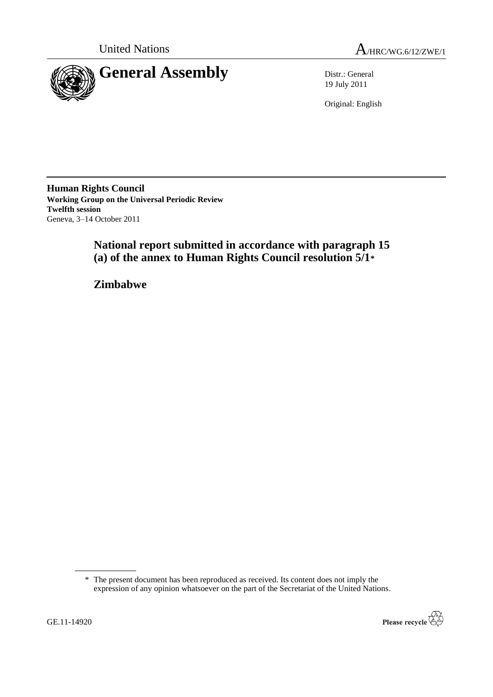



19 July 2011

Original: English

**Human Rights Council Working Group on the Universal Periodic Review Twelfth session** Geneva, 3–14 October 2011

> **National report submitted in accordance with paragraph 15 (a) of the annex to Human Rights Council resolution 5/1\***

**Zimbabwe**

<sup>\*</sup> The present document has been reproduced as received. Its content does not imply the expression of any opinion whatsoever on the part of the Secretariat of the United Nations.

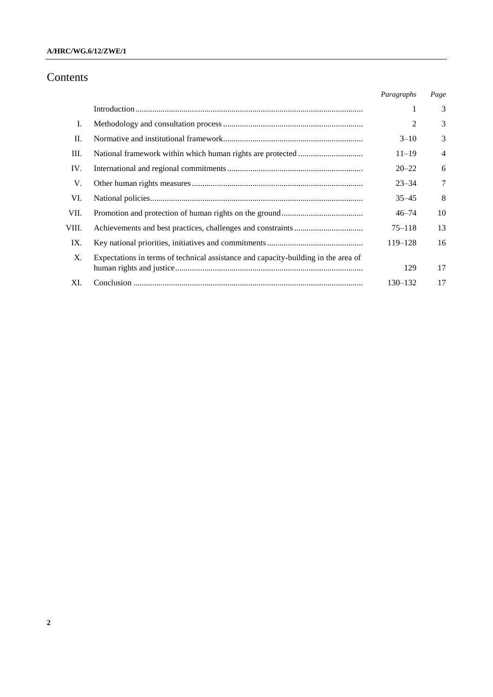# Contents

|       |                                                                                    | Paragraphs     | Page           |
|-------|------------------------------------------------------------------------------------|----------------|----------------|
|       |                                                                                    | 1              | 3              |
| I.    |                                                                                    | $\overline{c}$ | 3              |
| П.    |                                                                                    | $3 - 10$       | 3              |
| Ш.    |                                                                                    | $11 - 19$      | $\overline{4}$ |
| IV.   |                                                                                    | $20 - 22$      | 6              |
| V.    |                                                                                    | $23 - 34$      | $\tau$         |
| VI.   |                                                                                    | $35 - 45$      | 8              |
| VII.  |                                                                                    | $46 - 74$      | 10             |
| VIII. |                                                                                    | $75 - 118$     | 13             |
| IX.   |                                                                                    | 119-128        | 16             |
| X.    | Expectations in terms of technical assistance and capacity-building in the area of | 129            | 17             |
| XI.   |                                                                                    | $130 - 132$    | 17             |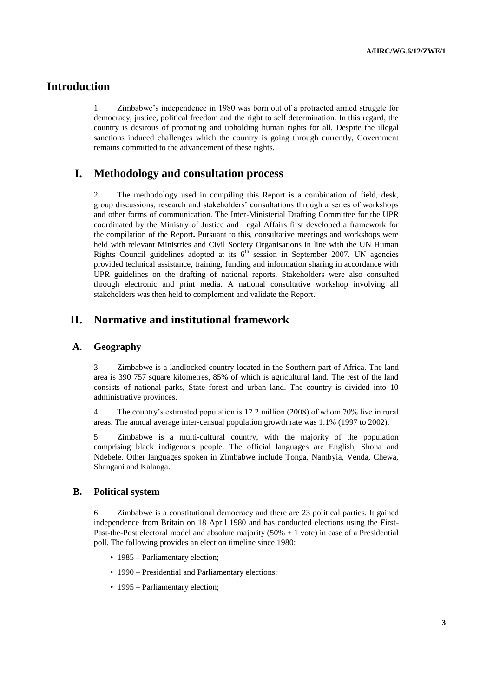# **Introduction**

1. Zimbabwe's independence in 1980 was born out of a protracted armed struggle for democracy, justice, political freedom and the right to self determination. In this regard, the country is desirous of promoting and upholding human rights for all. Despite the illegal sanctions induced challenges which the country is going through currently, Government remains committed to the advancement of these rights.

# **I. Methodology and consultation process**

2. The methodology used in compiling this Report is a combination of field, desk, group discussions, research and stakeholders' consultations through a series of workshops and other forms of communication. The Inter-Ministerial Drafting Committee for the UPR coordinated by the Ministry of Justice and Legal Affairs first developed a framework for the compilation of the Report**.** Pursuant to this, consultative meetings and workshops were held with relevant Ministries and Civil Society Organisations in line with the UN Human Rights Council guidelines adopted at its  $6<sup>th</sup>$  session in September 2007. UN agencies provided technical assistance, training, funding and information sharing in accordance with UPR guidelines on the drafting of national reports. Stakeholders were also consulted through electronic and print media. A national consultative workshop involving all stakeholders was then held to complement and validate the Report.

# **II. Normative and institutional framework**

## **A. Geography**

3. Zimbabwe is a landlocked country located in the Southern part of Africa. The land area is 390 757 square kilometres, 85% of which is agricultural land. The rest of the land consists of national parks, State forest and urban land. The country is divided into 10 administrative provinces.

4. The country's estimated population is 12.2 million (2008) of whom 70% live in rural areas. The annual average inter-censual population growth rate was 1.1% (1997 to 2002).

5. Zimbabwe is a multi-cultural country, with the majority of the population comprising black indigenous people. The official languages are English, Shona and Ndebele. Other languages spoken in Zimbabwe include Tonga, Nambyia, Venda, Chewa, Shangani and Kalanga.

## **B. Political system**

6. Zimbabwe is a constitutional democracy and there are 23 political parties. It gained independence from Britain on 18 April 1980 and has conducted elections using the First-Past-the-Post electoral model and absolute majority (50% + 1 vote) in case of a Presidential poll. The following provides an election timeline since 1980:

- 1985 Parliamentary election;
- 1990 Presidential and Parliamentary elections;
- 1995 Parliamentary election;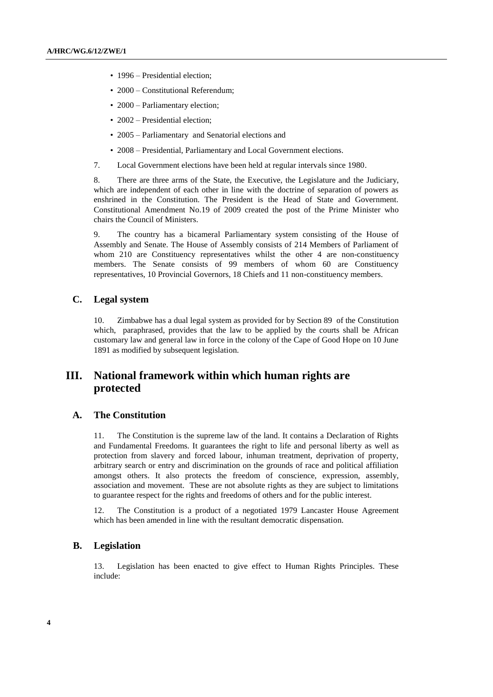- 1996 Presidential election;
- 2000 Constitutional Referendum;
- 2000 Parliamentary election;
- 2002 Presidential election;
- 2005 Parliamentary and Senatorial elections and
- 2008 Presidential, Parliamentary and Local Government elections.
- 7. Local Government elections have been held at regular intervals since 1980.

8. There are three arms of the State, the Executive, the Legislature and the Judiciary, which are independent of each other in line with the doctrine of separation of powers as enshrined in the Constitution. The President is the Head of State and Government. Constitutional Amendment No.19 of 2009 created the post of the Prime Minister who chairs the Council of Ministers.

9. The country has a bicameral Parliamentary system consisting of the House of Assembly and Senate. The House of Assembly consists of 214 Members of Parliament of whom 210 are Constituency representatives whilst the other 4 are non-constituency members. The Senate consists of 99 members of whom 60 are Constituency representatives, 10 Provincial Governors, 18 Chiefs and 11 non-constituency members.

## **C. Legal system**

10. Zimbabwe has a dual legal system as provided for by Section 89 of the Constitution which, paraphrased, provides that the law to be applied by the courts shall be African customary law and general law in force in the colony of the Cape of Good Hope on 10 June 1891 as modified by subsequent legislation.

# **III. National framework within which human rights are protected**

## **A. The Constitution**

11. The Constitution is the supreme law of the land. It contains a Declaration of Rights and Fundamental Freedoms. It guarantees the right to life and personal liberty as well as protection from slavery and forced labour, inhuman treatment, deprivation of property, arbitrary search or entry and discrimination on the grounds of race and political affiliation amongst others. It also protects the freedom of conscience, expression, assembly, association and movement. These are not absolute rights as they are subject to limitations to guarantee respect for the rights and freedoms of others and for the public interest.

12. The Constitution is a product of a negotiated 1979 Lancaster House Agreement which has been amended in line with the resultant democratic dispensation.

## **B. Legislation**

13. Legislation has been enacted to give effect to Human Rights Principles. These include: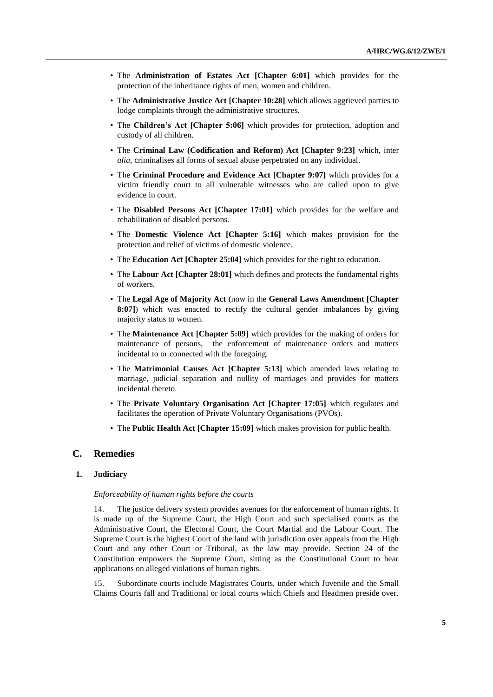- The **Administration of Estates Act [Chapter 6:01]** which provides for the protection of the inheritance rights of men, women and children.
- The **Administrative Justice Act [Chapter 10:28]** which allows aggrieved parties to lodge complaints through the administrative structures.
- The **Children's Act [Chapter 5:06]** which provides for protection, adoption and custody of all children.
- The **Criminal Law (Codification and Reform) Act [Chapter 9:23]** which, inter *alia,* criminalises all forms of sexual abuse perpetrated on any individual.
- The **Criminal Procedure and Evidence Act [Chapter 9:07]** which provides for a victim friendly court to all vulnerable witnesses who are called upon to give evidence in court.
- The **Disabled Persons Act [Chapter 17:01]** which provides for the welfare and rehabilitation of disabled persons.
- The **Domestic Violence Act [Chapter 5:16]** which makes provision for the protection and relief of victims of domestic violence.
- The **Education Act [Chapter 25:04]** which provides for the right to education.
- The **Labour Act [Chapter 28:01]** which defines and protects the fundamental rights of workers.
- The **Legal Age of Majority Act** (now in the **General Laws Amendment [Chapter 8:07]**) which was enacted to rectify the cultural gender imbalances by giving majority status to women.
- The **Maintenance Act [Chapter 5:09]** which provides for the making of orders for maintenance of persons, the enforcement of maintenance orders and matters incidental to or connected with the foregoing.
- The **Matrimonial Causes Act [Chapter 5:13]** which amended laws relating to marriage, judicial separation and nullity of marriages and provides for matters incidental thereto.
- The **Private Voluntary Organisation Act [Chapter 17:05]** which regulates and facilitates the operation of Private Voluntary Organisations (PVOs).
- The **Public Health Act [Chapter 15:09]** which makes provision for public health.

## **C. Remedies**

#### **1. Judiciary**

#### *Enforceability of human rights before the courts*

14. The justice delivery system provides avenues for the enforcement of human rights. It is made up of the Supreme Court, the High Court and such specialised courts as the Administrative Court, the Electoral Court, the Court Martial and the Labour Court. The Supreme Court is the highest Court of the land with jurisdiction over appeals from the High Court and any other Court or Tribunal, as the law may provide. Section 24 of the Constitution empowers the Supreme Court, sitting as the Constitutional Court to hear applications on alleged violations of human rights.

15. Subordinate courts include Magistrates Courts, under which Juvenile and the Small Claims Courts fall and Traditional or local courts which Chiefs and Headmen preside over.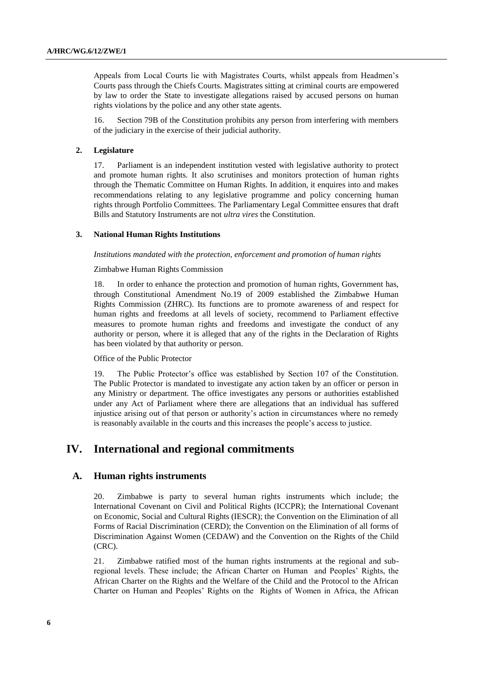Appeals from Local Courts lie with Magistrates Courts, whilst appeals from Headmen's Courts pass through the Chiefs Courts. Magistrates sitting at criminal courts are empowered by law to order the State to investigate allegations raised by accused persons on human rights violations by the police and any other state agents.

16. Section 79B of the Constitution prohibits any person from interfering with members of the judiciary in the exercise of their judicial authority.

### **2. Legislature**

17. Parliament is an independent institution vested with legislative authority to protect and promote human rights. It also scrutinises and monitors protection of human rights through the Thematic Committee on Human Rights. In addition, it enquires into and makes recommendations relating to any legislative programme and policy concerning human rights through Portfolio Committees. The Parliamentary Legal Committee ensures that draft Bills and Statutory Instruments are not *ultra vires* the Constitution.

#### **3. National Human Rights Institutions**

*Institutions mandated with the protection, enforcement and promotion of human rights*

#### Zimbabwe Human Rights Commission

18. In order to enhance the protection and promotion of human rights, Government has, through Constitutional Amendment No.19 of 2009 established the Zimbabwe Human Rights Commission (ZHRC). Its functions are to promote awareness of and respect for human rights and freedoms at all levels of society, recommend to Parliament effective measures to promote human rights and freedoms and investigate the conduct of any authority or person, where it is alleged that any of the rights in the Declaration of Rights has been violated by that authority or person.

### Office of the Public Protector

19. The Public Protector's office was established by Section 107 of the Constitution. The Public Protector is mandated to investigate any action taken by an officer or person in any Ministry or department. The office investigates any persons or authorities established under any Act of Parliament where there are allegations that an individual has suffered injustice arising out of that person or authority's action in circumstances where no remedy is reasonably available in the courts and this increases the people's access to justice.

# **IV. International and regional commitments**

## **A. Human rights instruments**

20. Zimbabwe is party to several human rights instruments which include; the International Covenant on Civil and Political Rights (ICCPR); the International Covenant on Economic, Social and Cultural Rights (IESCR); the Convention on the Elimination of all Forms of Racial Discrimination (CERD); the Convention on the Elimination of all forms of Discrimination Against Women (CEDAW) and the Convention on the Rights of the Child (CRC).

21. Zimbabwe ratified most of the human rights instruments at the regional and subregional levels. These include; the African Charter on Human and Peoples' Rights, the African Charter on the Rights and the Welfare of the Child and the Protocol to the African Charter on Human and Peoples' Rights on the Rights of Women in Africa, the African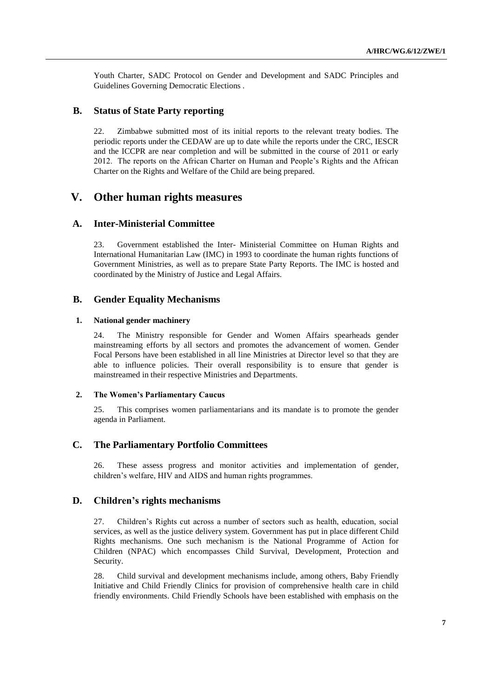Youth Charter, SADC Protocol on Gender and Development and SADC Principles and Guidelines Governing Democratic Elections .

## **B. Status of State Party reporting**

22. Zimbabwe submitted most of its initial reports to the relevant treaty bodies. The periodic reports under the CEDAW are up to date while the reports under the CRC, IESCR and the ICCPR are near completion and will be submitted in the course of 2011 or early 2012. The reports on the African Charter on Human and People's Rights and the African Charter on the Rights and Welfare of the Child are being prepared.

# **V. Other human rights measures**

## **A. Inter-Ministerial Committee**

23. Government established the Inter- Ministerial Committee on Human Rights and International Humanitarian Law (IMC) in 1993 to coordinate the human rights functions of Government Ministries, as well as to prepare State Party Reports. The IMC is hosted and coordinated by the Ministry of Justice and Legal Affairs.

## **B. Gender Equality Mechanisms**

#### **1. National gender machinery**

24. The Ministry responsible for Gender and Women Affairs spearheads gender mainstreaming efforts by all sectors and promotes the advancement of women. Gender Focal Persons have been established in all line Ministries at Director level so that they are able to influence policies. Their overall responsibility is to ensure that gender is mainstreamed in their respective Ministries and Departments.

#### **2. The Women's Parliamentary Caucus**

25. This comprises women parliamentarians and its mandate is to promote the gender agenda in Parliament.

## **C. The Parliamentary Portfolio Committees**

26. These assess progress and monitor activities and implementation of gender, children's welfare, HIV and AIDS and human rights programmes.

## **D. Children's rights mechanisms**

27. Children's Rights cut across a number of sectors such as health, education, social services, as well as the justice delivery system. Government has put in place different Child Rights mechanisms. One such mechanism is the National Programme of Action for Children (NPAC) which encompasses Child Survival, Development, Protection and Security.

28. Child survival and development mechanisms include, among others, Baby Friendly Initiative and Child Friendly Clinics for provision of comprehensive health care in child friendly environments. Child Friendly Schools have been established with emphasis on the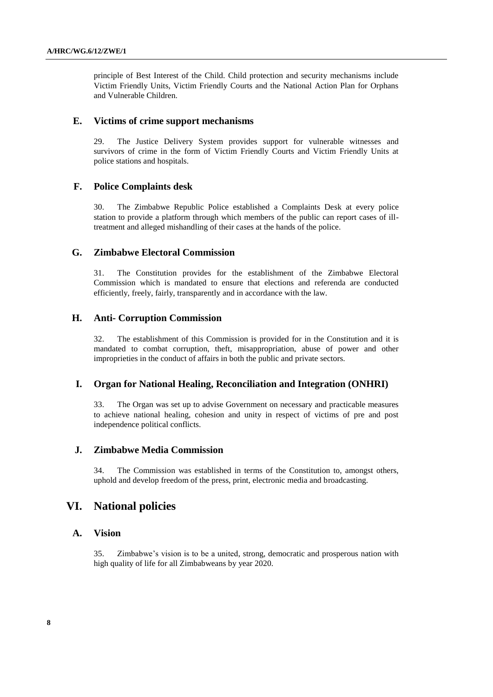principle of Best Interest of the Child. Child protection and security mechanisms include Victim Friendly Units, Victim Friendly Courts and the National Action Plan for Orphans and Vulnerable Children.

#### **E. Victims of crime support mechanisms**

29. The Justice Delivery System provides support for vulnerable witnesses and survivors of crime in the form of Victim Friendly Courts and Victim Friendly Units at police stations and hospitals.

## **F. Police Complaints desk**

30. The Zimbabwe Republic Police established a Complaints Desk at every police station to provide a platform through which members of the public can report cases of illtreatment and alleged mishandling of their cases at the hands of the police.

## **G. Zimbabwe Electoral Commission**

31. The Constitution provides for the establishment of the Zimbabwe Electoral Commission which is mandated to ensure that elections and referenda are conducted efficiently, freely, fairly, transparently and in accordance with the law.

## **H. Anti- Corruption Commission**

32. The establishment of this Commission is provided for in the Constitution and it is mandated to combat corruption, theft, misappropriation, abuse of power and other improprieties in the conduct of affairs in both the public and private sectors.

## **I. Organ for National Healing, Reconciliation and Integration (ONHRI)**

33. The Organ was set up to advise Government on necessary and practicable measures to achieve national healing, cohesion and unity in respect of victims of pre and post independence political conflicts.

## **J. Zimbabwe Media Commission**

34. The Commission was established in terms of the Constitution to, amongst others, uphold and develop freedom of the press, print, electronic media and broadcasting.

## **VI. National policies**

## **A. Vision**

35. Zimbabwe's vision is to be a united, strong, democratic and prosperous nation with high quality of life for all Zimbabweans by year 2020.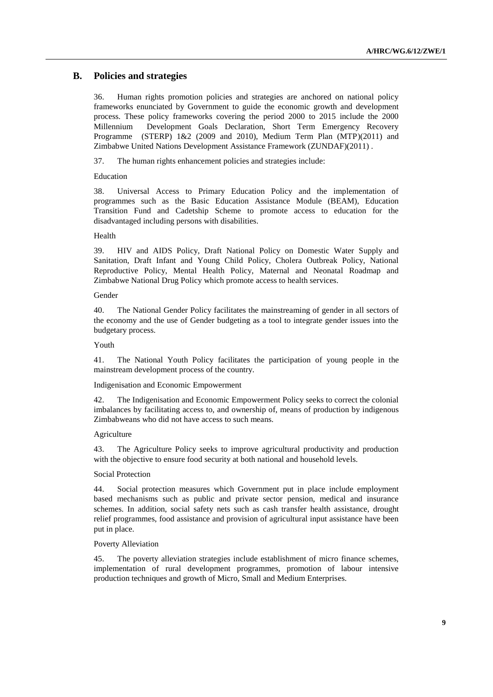## **B. Policies and strategies**

36. Human rights promotion policies and strategies are anchored on national policy frameworks enunciated by Government to guide the economic growth and development process. These policy frameworks covering the period 2000 to 2015 include the 2000 Millennium Development Goals Declaration, Short Term Emergency Recovery Programme (STERP) 1&2 (2009 and 2010), Medium Term Plan (MTP)(2011) and Zimbabwe United Nations Development Assistance Framework (ZUNDAF)(2011) .

37. The human rights enhancement policies and strategies include:

#### Education

38. Universal Access to Primary Education Policy and the implementation of programmes such as the Basic Education Assistance Module (BEAM), Education Transition Fund and Cadetship Scheme to promote access to education for the disadvantaged including persons with disabilities.

#### Health

39. HIV and AIDS Policy, Draft National Policy on Domestic Water Supply and Sanitation, Draft Infant and Young Child Policy, Cholera Outbreak Policy, National Reproductive Policy, Mental Health Policy, Maternal and Neonatal Roadmap and Zimbabwe National Drug Policy which promote access to health services.

### Gender

40. The National Gender Policy facilitates the mainstreaming of gender in all sectors of the economy and the use of Gender budgeting as a tool to integrate gender issues into the budgetary process.

#### Youth

41. The National Youth Policy facilitates the participation of young people in the mainstream development process of the country.

Indigenisation and Economic Empowerment

42. The Indigenisation and Economic Empowerment Policy seeks to correct the colonial imbalances by facilitating access to, and ownership of, means of production by indigenous Zimbabweans who did not have access to such means.

#### Agriculture

43. The Agriculture Policy seeks to improve agricultural productivity and production with the objective to ensure food security at both national and household levels.

#### Social Protection

44. Social protection measures which Government put in place include employment based mechanisms such as public and private sector pension, medical and insurance schemes. In addition, social safety nets such as cash transfer health assistance, drought relief programmes, food assistance and provision of agricultural input assistance have been put in place.

## Poverty Alleviation

45. The poverty alleviation strategies include establishment of micro finance schemes, implementation of rural development programmes, promotion of labour intensive production techniques and growth of Micro, Small and Medium Enterprises.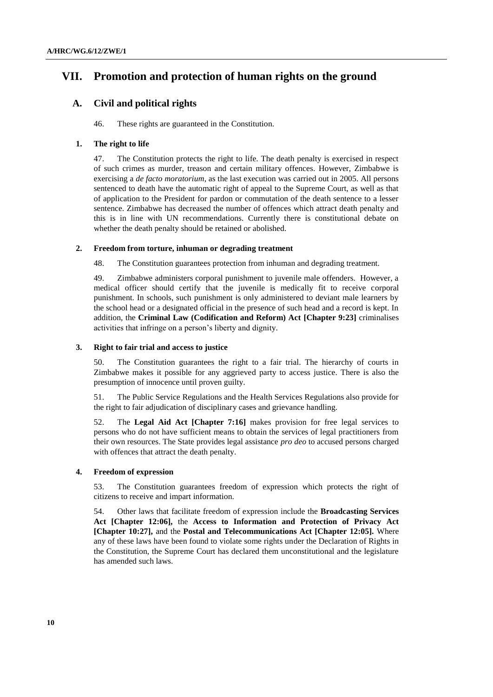# **VII. Promotion and protection of human rights on the ground**

## **A. Civil and political rights**

46. These rights are guaranteed in the Constitution.

## **1. The right to life**

47. The Constitution protects the right to life. The death penalty is exercised in respect of such crimes as murder, treason and certain military offences. However, Zimbabwe is exercising a *de facto moratorium*, as the last execution was carried out in 2005. All persons sentenced to death have the automatic right of appeal to the Supreme Court, as well as that of application to the President for pardon or commutation of the death sentence to a lesser sentence. Zimbabwe has decreased the number of offences which attract death penalty and this is in line with UN recommendations. Currently there is constitutional debate on whether the death penalty should be retained or abolished.

#### **2. Freedom from torture, inhuman or degrading treatment**

48. The Constitution guarantees protection from inhuman and degrading treatment.

49. Zimbabwe administers corporal punishment to juvenile male offenders. However, a medical officer should certify that the juvenile is medically fit to receive corporal punishment. In schools, such punishment is only administered to deviant male learners by the school head or a designated official in the presence of such head and a record is kept. In addition, the **Criminal Law (Codification and Reform) Act [Chapter 9:23]** criminalises activities that infringe on a person's liberty and dignity.

#### **3. Right to fair trial and access to justice**

50. The Constitution guarantees the right to a fair trial. The hierarchy of courts in Zimbabwe makes it possible for any aggrieved party to access justice. There is also the presumption of innocence until proven guilty.

51. The Public Service Regulations and the Health Services Regulations also provide for the right to fair adjudication of disciplinary cases and grievance handling.

52. The **Legal Aid Act [Chapter 7:16]** makes provision for free legal services to persons who do not have sufficient means to obtain the services of legal practitioners from their own resources. The State provides legal assistance *pro deo* to accused persons charged with offences that attract the death penalty.

## **4. Freedom of expression**

53. The Constitution guarantees freedom of expression which protects the right of citizens to receive and impart information.

54. Other laws that facilitate freedom of expression include the **Broadcasting Services Act [Chapter 12:06],** the **Access to Information and Protection of Privacy Act [Chapter 10:27],** and the **Postal and Telecommunications Act [Chapter 12:05].** Where any of these laws have been found to violate some rights under the Declaration of Rights in the Constitution, the Supreme Court has declared them unconstitutional and the legislature has amended such laws.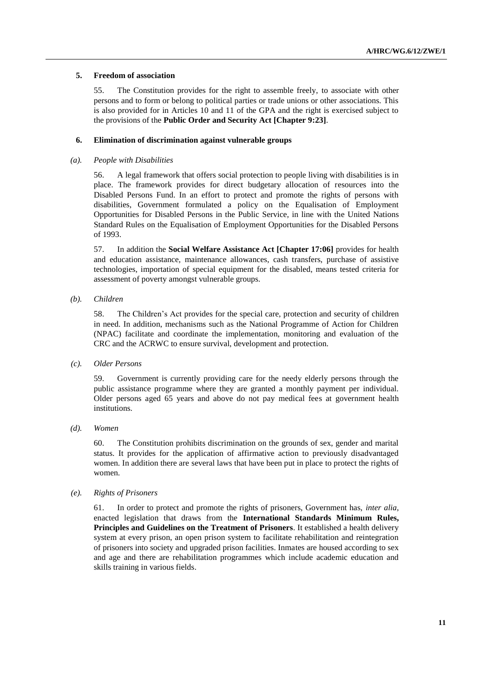#### **5. Freedom of association**

55. The Constitution provides for the right to assemble freely, to associate with other persons and to form or belong to political parties or trade unions or other associations. This is also provided for in Articles 10 and 11 of the GPA and the right is exercised subject to the provisions of the **Public Order and Security Act [Chapter 9:23]**.

### **6. Elimination of discrimination against vulnerable groups**

#### *(a). People with Disabilities*

56. A legal framework that offers social protection to people living with disabilities is in place. The framework provides for direct budgetary allocation of resources into the Disabled Persons Fund. In an effort to protect and promote the rights of persons with disabilities, Government formulated a policy on the Equalisation of Employment Opportunities for Disabled Persons in the Public Service, in line with the United Nations Standard Rules on the Equalisation of Employment Opportunities for the Disabled Persons of 1993.

57. In addition the **Social Welfare Assistance Act [Chapter 17:06]** provides for health and education assistance, maintenance allowances, cash transfers, purchase of assistive technologies, importation of special equipment for the disabled, means tested criteria for assessment of poverty amongst vulnerable groups.

#### *(b). Children*

58. The Children's Act provides for the special care, protection and security of children in need. In addition, mechanisms such as the National Programme of Action for Children (NPAC) facilitate and coordinate the implementation, monitoring and evaluation of the CRC and the ACRWC to ensure survival, development and protection.

## *(c). Older Persons*

59. Government is currently providing care for the needy elderly persons through the public assistance programme where they are granted a monthly payment per individual. Older persons aged 65 years and above do not pay medical fees at government health institutions.

#### *(d). Women*

60. The Constitution prohibits discrimination on the grounds of sex, gender and marital status. It provides for the application of affirmative action to previously disadvantaged women. In addition there are several laws that have been put in place to protect the rights of women.

#### *(e). Rights of Prisoners*

61. In order to protect and promote the rights of prisoners, Government has, *inter alia*, enacted legislation that draws from the **International Standards Minimum Rules, Principles and Guidelines on the Treatment of Prisoners**. It established a health delivery system at every prison, an open prison system to facilitate rehabilitation and reintegration of prisoners into society and upgraded prison facilities. Inmates are housed according to sex and age and there are rehabilitation programmes which include academic education and skills training in various fields.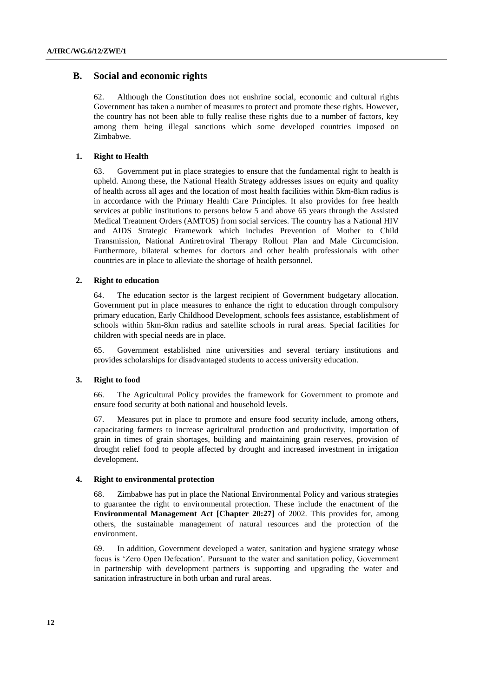## **B. Social and economic rights**

62. Although the Constitution does not enshrine social, economic and cultural rights Government has taken a number of measures to protect and promote these rights. However, the country has not been able to fully realise these rights due to a number of factors, key among them being illegal sanctions which some developed countries imposed on Zimbabwe.

### **1. Right to Health**

63. Government put in place strategies to ensure that the fundamental right to health is upheld. Among these, the National Health Strategy addresses issues on equity and quality of health across all ages and the location of most health facilities within 5km-8km radius is in accordance with the Primary Health Care Principles. It also provides for free health services at public institutions to persons below 5 and above 65 years through the Assisted Medical Treatment Orders (AMTOS) from social services. The country has a National HIV and AIDS Strategic Framework which includes Prevention of Mother to Child Transmission, National Antiretroviral Therapy Rollout Plan and Male Circumcision. Furthermore, bilateral schemes for doctors and other health professionals with other countries are in place to alleviate the shortage of health personnel.

#### **2. Right to education**

64. The education sector is the largest recipient of Government budgetary allocation. Government put in place measures to enhance the right to education through compulsory primary education, Early Childhood Development, schools fees assistance, establishment of schools within 5km-8km radius and satellite schools in rural areas. Special facilities for children with special needs are in place.

65. Government established nine universities and several tertiary institutions and provides scholarships for disadvantaged students to access university education.

#### **3. Right to food**

66. The Agricultural Policy provides the framework for Government to promote and ensure food security at both national and household levels.

67. Measures put in place to promote and ensure food security include, among others, capacitating farmers to increase agricultural production and productivity, importation of grain in times of grain shortages, building and maintaining grain reserves, provision of drought relief food to people affected by drought and increased investment in irrigation development.

### **4. Right to environmental protection**

68. Zimbabwe has put in place the National Environmental Policy and various strategies to guarantee the right to environmental protection. These include the enactment of the **Environmental Management Act [Chapter 20:27]** of 2002. This provides for, among others, the sustainable management of natural resources and the protection of the environment.

69. In addition, Government developed a water, sanitation and hygiene strategy whose focus is 'Zero Open Defecation'. Pursuant to the water and sanitation policy, Government in partnership with development partners is supporting and upgrading the water and sanitation infrastructure in both urban and rural areas.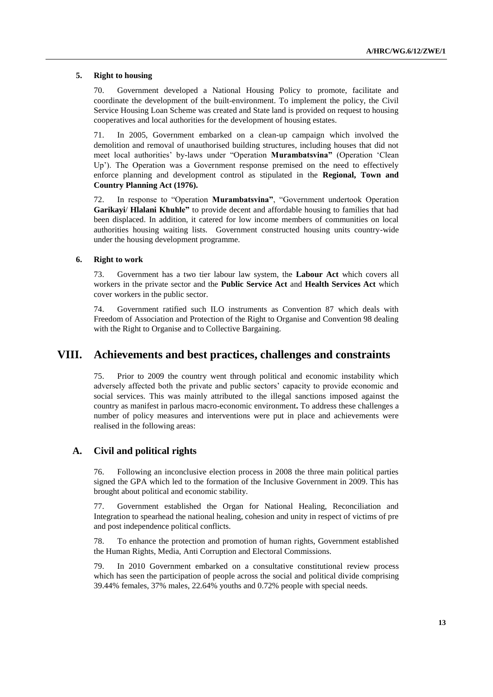#### **5. Right to housing**

70. Government developed a National Housing Policy to promote, facilitate and coordinate the development of the built-environment. To implement the policy, the Civil Service Housing Loan Scheme was created and State land is provided on request to housing cooperatives and local authorities for the development of housing estates.

71. In 2005, Government embarked on a clean-up campaign which involved the demolition and removal of unauthorised building structures, including houses that did not meet local authorities' by-laws under "Operation **Murambatsvina"** (Operation 'Clean Up'). The Operation was a Government response premised on the need to effectively enforce planning and development control as stipulated in the **Regional, Town and Country Planning Act (1976).**

72. In response to "Operation **Murambatsvina"**, "Government undertook Operation **Garikayi**/ **Hlalani Khuhle"** to provide decent and affordable housing to families that had been displaced. In addition, it catered for low income members of communities on local authorities housing waiting lists. Government constructed housing units country-wide under the housing development programme.

#### **6. Right to work**

73. Government has a two tier labour law system, the **Labour Act** which covers all workers in the private sector and the **Public Service Act** and **Health Services Act** which cover workers in the public sector.

74. Government ratified such ILO instruments as Convention 87 which deals with Freedom of Association and Protection of the Right to Organise and Convention 98 dealing with the Right to Organise and to Collective Bargaining.

# **VIII. Achievements and best practices, challenges and constraints**

75. Prior to 2009 the country went through political and economic instability which adversely affected both the private and public sectors' capacity to provide economic and social services. This was mainly attributed to the illegal sanctions imposed against the country as manifest in parlous macro-economic environment**.** To address these challenges a number of policy measures and interventions were put in place and achievements were realised in the following areas:

## **A. Civil and political rights**

76. Following an inconclusive election process in 2008 the three main political parties signed the GPA which led to the formation of the Inclusive Government in 2009. This has brought about political and economic stability.

77. Government established the Organ for National Healing, Reconciliation and Integration to spearhead the national healing, cohesion and unity in respect of victims of pre and post independence political conflicts.

78. To enhance the protection and promotion of human rights, Government established the Human Rights, Media, Anti Corruption and Electoral Commissions.

79. In 2010 Government embarked on a consultative constitutional review process which has seen the participation of people across the social and political divide comprising 39.44% females, 37% males, 22.64% youths and 0.72% people with special needs.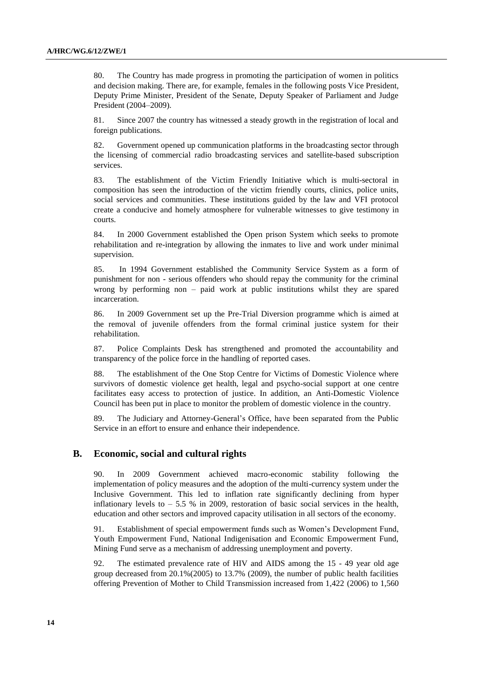80. The Country has made progress in promoting the participation of women in politics and decision making. There are, for example, females in the following posts Vice President, Deputy Prime Minister, President of the Senate, Deputy Speaker of Parliament and Judge President (2004–2009).

81. Since 2007 the country has witnessed a steady growth in the registration of local and foreign publications.

82. Government opened up communication platforms in the broadcasting sector through the licensing of commercial radio broadcasting services and satellite-based subscription services.

83. The establishment of the Victim Friendly Initiative which is multi-sectoral in composition has seen the introduction of the victim friendly courts, clinics, police units, social services and communities. These institutions guided by the law and VFI protocol create a conducive and homely atmosphere for vulnerable witnesses to give testimony in courts.

84. In 2000 Government established the Open prison System which seeks to promote rehabilitation and re-integration by allowing the inmates to live and work under minimal supervision.

85. In 1994 Government established the Community Service System as a form of punishment for non - serious offenders who should repay the community for the criminal wrong by performing non – paid work at public institutions whilst they are spared incarceration.

86. In 2009 Government set up the Pre-Trial Diversion programme which is aimed at the removal of juvenile offenders from the formal criminal justice system for their rehabilitation.

87. Police Complaints Desk has strengthened and promoted the accountability and transparency of the police force in the handling of reported cases.

88. The establishment of the One Stop Centre for Victims of Domestic Violence where survivors of domestic violence get health, legal and psycho-social support at one centre facilitates easy access to protection of justice. In addition, an Anti-Domestic Violence Council has been put in place to monitor the problem of domestic violence in the country.

89. The Judiciary and Attorney-General's Office, have been separated from the Public Service in an effort to ensure and enhance their independence.

#### **B. Economic, social and cultural rights**

90. In 2009 Government achieved macro-economic stability following the implementation of policy measures and the adoption of the multi-currency system under the Inclusive Government. This led to inflation rate significantly declining from hyper inflationary levels to  $-5.5\%$  in 2009, restoration of basic social services in the health, education and other sectors and improved capacity utilisation in all sectors of the economy.

91. Establishment of special empowerment funds such as Women's Development Fund, Youth Empowerment Fund, National Indigenisation and Economic Empowerment Fund, Mining Fund serve as a mechanism of addressing unemployment and poverty.

92. The estimated prevalence rate of HIV and AIDS among the 15 - 49 year old age group decreased from 20.1%(2005) to 13.7% (2009), the number of public health facilities offering Prevention of Mother to Child Transmission increased from 1,422 (2006) to 1,560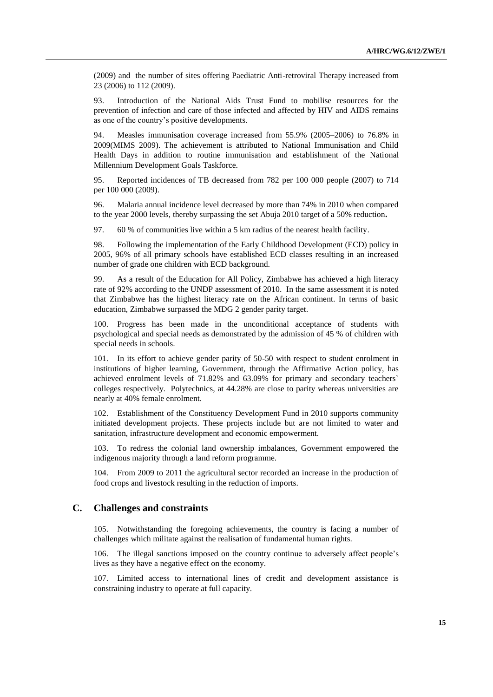(2009) and the number of sites offering Paediatric Anti-retroviral Therapy increased from 23 (2006) to 112 (2009).

93. Introduction of the National Aids Trust Fund to mobilise resources for the prevention of infection and care of those infected and affected by HIV and AIDS remains as one of the country's positive developments.

94. Measles immunisation coverage increased from 55.9% (2005–2006) to 76.8% in 2009(MIMS 2009). The achievement is attributed to National Immunisation and Child Health Days in addition to routine immunisation and establishment of the National Millennium Development Goals Taskforce.

95. Reported incidences of TB decreased from 782 per 100 000 people (2007) to 714 per 100 000 (2009).

96. Malaria annual incidence level decreased by more than 74% in 2010 when compared to the year 2000 levels, thereby surpassing the set Abuja 2010 target of a 50% reduction**.**

97. 60 % of communities live within a 5 km radius of the nearest health facility.

98. Following the implementation of the Early Childhood Development (ECD) policy in 2005, 96% of all primary schools have established ECD classes resulting in an increased number of grade one children with ECD background.

99. As a result of the Education for All Policy, Zimbabwe has achieved a high literacy rate of 92% according to the UNDP assessment of 2010. In the same assessment it is noted that Zimbabwe has the highest literacy rate on the African continent. In terms of basic education, Zimbabwe surpassed the MDG 2 gender parity target.

100. Progress has been made in the unconditional acceptance of students with psychological and special needs as demonstrated by the admission of 45 % of children with special needs in schools.

101. In its effort to achieve gender parity of 50-50 with respect to student enrolment in institutions of higher learning, Government, through the Affirmative Action policy, has achieved enrolment levels of 71.82% and 63.09% for primary and secondary teachers` colleges respectively. Polytechnics, at 44.28% are close to parity whereas universities are nearly at 40% female enrolment.

102. Establishment of the Constituency Development Fund in 2010 supports community initiated development projects. These projects include but are not limited to water and sanitation, infrastructure development and economic empowerment.

103. To redress the colonial land ownership imbalances, Government empowered the indigenous majority through a land reform programme.

104. From 2009 to 2011 the agricultural sector recorded an increase in the production of food crops and livestock resulting in the reduction of imports.

## **C. Challenges and constraints**

105. Notwithstanding the foregoing achievements, the country is facing a number of challenges which militate against the realisation of fundamental human rights.

106. The illegal sanctions imposed on the country continue to adversely affect people's lives as they have a negative effect on the economy.

107. Limited access to international lines of credit and development assistance is constraining industry to operate at full capacity.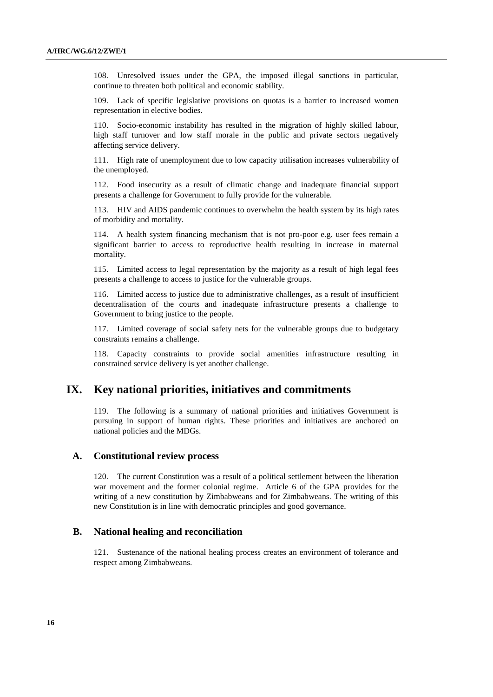108. Unresolved issues under the GPA, the imposed illegal sanctions in particular, continue to threaten both political and economic stability.

109. Lack of specific legislative provisions on quotas is a barrier to increased women representation in elective bodies.

110. Socio-economic instability has resulted in the migration of highly skilled labour, high staff turnover and low staff morale in the public and private sectors negatively affecting service delivery.

111. High rate of unemployment due to low capacity utilisation increases vulnerability of the unemployed.

112. Food insecurity as a result of climatic change and inadequate financial support presents a challenge for Government to fully provide for the vulnerable.

113. HIV and AIDS pandemic continues to overwhelm the health system by its high rates of morbidity and mortality.

114. A health system financing mechanism that is not pro-poor e.g. user fees remain a significant barrier to access to reproductive health resulting in increase in maternal mortality.

115. Limited access to legal representation by the majority as a result of high legal fees presents a challenge to access to justice for the vulnerable groups.

116. Limited access to justice due to administrative challenges, as a result of insufficient decentralisation of the courts and inadequate infrastructure presents a challenge to Government to bring justice to the people.

117. Limited coverage of social safety nets for the vulnerable groups due to budgetary constraints remains a challenge.

118. Capacity constraints to provide social amenities infrastructure resulting in constrained service delivery is yet another challenge.

# **IX. Key national priorities, initiatives and commitments**

119. The following is a summary of national priorities and initiatives Government is pursuing in support of human rights. These priorities and initiatives are anchored on national policies and the MDGs.

### **A. Constitutional review process**

120. The current Constitution was a result of a political settlement between the liberation war movement and the former colonial regime. Article 6 of the GPA provides for the writing of a new constitution by Zimbabweans and for Zimbabweans. The writing of this new Constitution is in line with democratic principles and good governance.

#### **B. National healing and reconciliation**

121. Sustenance of the national healing process creates an environment of tolerance and respect among Zimbabweans.